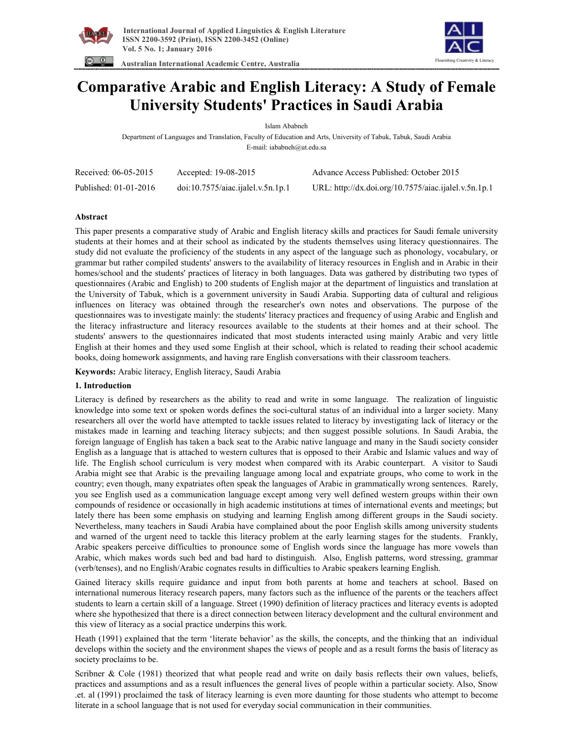

 **Australian International Academic Centre, Australia** 



# **Comparative Arabic and English Literacy: A Study of Female University Students' Practices in Saudi Arabia**

Islam Ababneh

Department of Languages and Translation, Faculty of Education and Arts, University of Tabuk, Tabuk, Saudi Arabia E-mail: iababneh@ut.edu.sa

| Received: 06-05-2015  | Accepted: 19-08-2015              | Advance Access Published: October 2015               |
|-----------------------|-----------------------------------|------------------------------------------------------|
| Published: 01-01-2016 | doi:10.7575/aiac.ijalel.v.5n.1p.1 | URL: http://dx.doi.org/10.7575/aiac.ijalel.v.5n.1p.1 |

## **Abstract**

This paper presents a comparative study of Arabic and English literacy skills and practices for Saudi female university students at their homes and at their school as indicated by the students themselves using literacy questionnaires. The study did not evaluate the proficiency of the students in any aspect of the language such as phonology, vocabulary, or grammar but rather compiled students' answers to the availability of literacy resources in English and in Arabic in their homes/school and the students' practices of literacy in both languages. Data was gathered by distributing two types of questionnaires (Arabic and English) to 200 students of English major at the department of linguistics and translation at the University of Tabuk, which is a government university in Saudi Arabia. Supporting data of cultural and religious influences on literacy was obtained through the researcher's own notes and observations. The purpose of the questionnaires was to investigate mainly: the students' literacy practices and frequency of using Arabic and English and the literacy infrastructure and literacy resources available to the students at their homes and at their school. The students' answers to the questionnaires indicated that most students interacted using mainly Arabic and very little English at their homes and they used some English at their school, which is related to reading their school academic books, doing homework assignments, and having rare English conversations with their classroom teachers.

**Keywords:** Arabic literacy, English literacy, Saudi Arabia

## **1. Introduction**

Literacy is defined by researchers as the ability to read and write in some language. The realization of linguistic knowledge into some text or spoken words defines the soci-cultural status of an individual into a larger society. Many researchers all over the world have attempted to tackle issues related to literacy by investigating lack of literacy or the mistakes made in learning and teaching literacy subjects; and then suggest possible solutions. In Saudi Arabia, the foreign language of English has taken a back seat to the Arabic native language and many in the Saudi society consider English as a language that is attached to western cultures that is opposed to their Arabic and Islamic values and way of life. The English school curriculum is very modest when compared with its Arabic counterpart. A visitor to Saudi Arabia might see that Arabic is the prevailing language among local and expatriate groups, who come to work in the country; even though, many expatriates often speak the languages of Arabic in grammatically wrong sentences. Rarely, you see English used as a communication language except among very well defined western groups within their own compounds of residence or occasionally in high academic institutions at times of international events and meetings; but lately there has been some emphasis on studying and learning English among different groups in the Saudi society. Nevertheless, many teachers in Saudi Arabia have complained about the poor English skills among university students and warned of the urgent need to tackle this literacy problem at the early learning stages for the students. Frankly, Arabic speakers perceive difficulties to pronounce some of English words since the language has more vowels than Arabic, which makes words such bed and bad hard to distinguish. Also, English patterns, word stressing, grammar (verb/tenses), and no English/Arabic cognates results in difficulties to Arabic speakers learning English.

Gained literacy skills require guidance and input from both parents at home and teachers at school. Based on international numerous literacy research papers, many factors such as the influence of the parents or the teachers affect students to learn a certain skill of a language. Street (1990) definition of literacy practices and literacy events is adopted where she hypothesized that there is a direct connection between literacy development and the cultural environment and this view of literacy as a social practice underpins this work.

Heath (1991) explained that the term 'literate behavior' as the skills, the concepts, and the thinking that an individual develops within the society and the environment shapes the views of people and as a result forms the basis of literacy as society proclaims to be.

Scribner & Cole (1981) theorized that what people read and write on daily basis reflects their own values, beliefs, practices and assumptions and as a result influences the general lives of people within a particular society. Also, Snow .et. al (1991) proclaimed the task of literacy learning is even more daunting for those students who attempt to become literate in a school language that is not used for everyday social communication in their communities.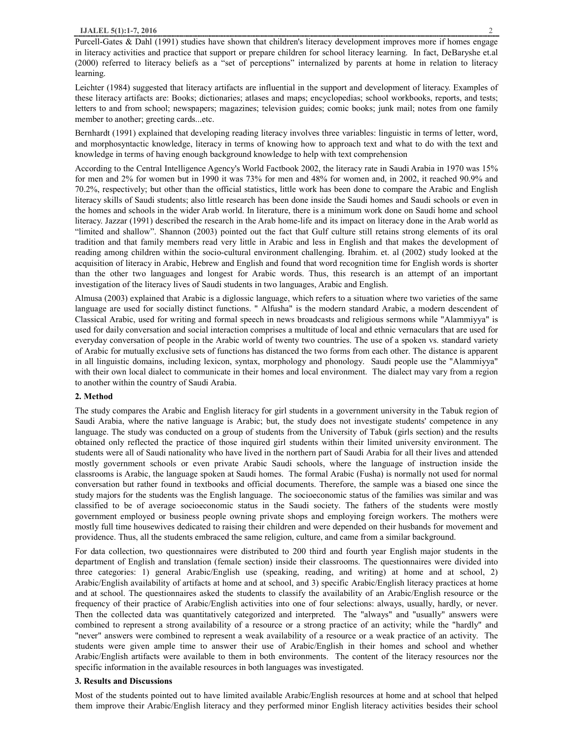Leichter (1984) suggested that literacy artifacts are influential in the support and development of literacy. Examples of these literacy artifacts are: Books; dictionaries; atlases and maps; encyclopedias; school workbooks, reports, and tests; letters to and from school; newspapers; magazines; television guides; comic books; junk mail; notes from one family member to another; greeting cards...etc.

Bernhardt (1991) explained that developing reading literacy involves three variables: linguistic in terms of letter, word, and morphosyntactic knowledge, literacy in terms of knowing how to approach text and what to do with the text and knowledge in terms of having enough background knowledge to help with text comprehension

According to the Central Intelligence Agency's World Factbook 2002, the literacy rate in Saudi Arabia in 1970 was 15% for men and 2% for women but in 1990 it was 73% for men and 48% for women and, in 2002, it reached 90.9% and 70.2%, respectively; but other than the official statistics, little work has been done to compare the Arabic and English literacy skills of Saudi students; also little research has been done inside the Saudi homes and Saudi schools or even in the homes and schools in the wider Arab world. In literature, there is a minimum work done on Saudi home and school literacy. Jazzar (1991) described the research in the Arab home-life and its impact on literacy done in the Arab world as "limited and shallow". Shannon (2003) pointed out the fact that Gulf culture still retains strong elements of its oral tradition and that family members read very little in Arabic and less in English and that makes the development of reading among children within the socio-cultural environment challenging. Ibrahim. et. al (2002) study looked at the acquisition of literacy in Arabic, Hebrew and English and found that word recognition time for English words is shorter than the other two languages and longest for Arabic words. Thus, this research is an attempt of an important investigation of the literacy lives of Saudi students in two languages, Arabic and English.

Almusa (2003) explained that Arabic is a diglossic language, which refers to a situation where two varieties of the same language are used for socially distinct functions. " Alfusha" is the modern standard Arabic, a modern descendent of Classical Arabic, used for writing and formal speech in news broadcasts and religious sermons while "Alammiyya" is used for daily conversation and social interaction comprises a multitude of local and ethnic vernaculars that are used for everyday conversation of people in the Arabic world of twenty two countries. The use of a spoken vs. standard variety of Arabic for mutually exclusive sets of functions has distanced the two forms from each other. The distance is apparent in all linguistic domains, including lexicon, syntax, morphology and phonology. Saudi people use the "Alammiyya" with their own local dialect to communicate in their homes and local environment. The dialect may vary from a region to another within the country of Saudi Arabia.

### **2. Method**

The study compares the Arabic and English literacy for girl students in a government university in the Tabuk region of Saudi Arabia, where the native language is Arabic; but, the study does not investigate students' competence in any language. The study was conducted on a group of students from the University of Tabuk (girls section) and the results obtained only reflected the practice of those inquired girl students within their limited university environment. The students were all of Saudi nationality who have lived in the northern part of Saudi Arabia for all their lives and attended mostly government schools or even private Arabic Saudi schools, where the language of instruction inside the classrooms is Arabic, the language spoken at Saudi homes. The formal Arabic (Fusha) is normally not used for normal conversation but rather found in textbooks and official documents. Therefore, the sample was a biased one since the study majors for the students was the English language. The socioeconomic status of the families was similar and was classified to be of average socioeconomic status in the Saudi society. The fathers of the students were mostly government employed or business people owning private shops and employing foreign workers. The mothers were mostly full time housewives dedicated to raising their children and were depended on their husbands for movement and providence. Thus, all the students embraced the same religion, culture, and came from a similar background.

For data collection, two questionnaires were distributed to 200 third and fourth year English major students in the department of English and translation (female section) inside their classrooms. The questionnaires were divided into three categories: 1) general Arabic/English use (speaking, reading, and writing) at home and at school, 2) Arabic/English availability of artifacts at home and at school, and 3) specific Arabic/English literacy practices at home and at school. The questionnaires asked the students to classify the availability of an Arabic/English resource or the frequency of their practice of Arabic/English activities into one of four selections: always, usually, hardly, or never. Then the collected data was quantitatively categorized and interpreted. The "always" and "usually" answers were combined to represent a strong availability of a resource or a strong practice of an activity; while the "hardly" and "never" answers were combined to represent a weak availability of a resource or a weak practice of an activity. The students were given ample time to answer their use of Arabic/English in their homes and school and whether Arabic/English artifacts were available to them in both environments. The content of the literacy resources nor the specific information in the available resources in both languages was investigated.

#### **3. Results and Discussions**

Most of the students pointed out to have limited available Arabic/English resources at home and at school that helped them improve their Arabic/English literacy and they performed minor English literacy activities besides their school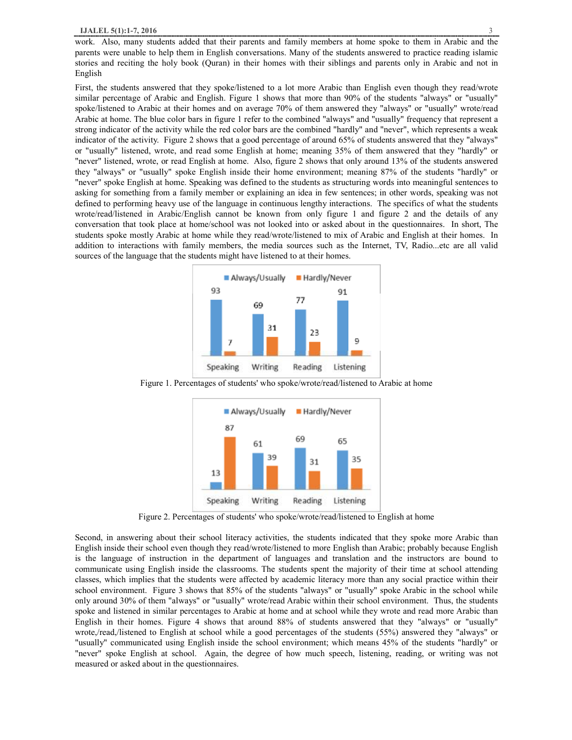work. Also, many students added that their parents and family members at home spoke to them in Arabic and the parents were unable to help them in English conversations. Many of the students answered to practice reading islamic stories and reciting the holy book (Quran) in their homes with their siblings and parents only in Arabic and not in English

First, the students answered that they spoke/listened to a lot more Arabic than English even though they read/wrote similar percentage of Arabic and English. Figure 1 shows that more than 90% of the students "always" or "usually" spoke/listened to Arabic at their homes and on average 70% of them answered they "always" or "usually" wrote/read Arabic at home. The blue color bars in figure 1 refer to the combined "always" and "usually" frequency that represent a strong indicator of the activity while the red color bars are the combined "hardly" and "never", which represents a weak indicator of the activity. Figure 2 shows that a good percentage of around 65% of students answered that they "always" or "usually" listened, wrote, and read some English at home; meaning 35% of them answered that they "hardly" or "never" listened, wrote, or read English at home. Also, figure 2 shows that only around 13% of the students answered they "always" or "usually" spoke English inside their home environment; meaning 87% of the students "hardly" or "never" spoke English at home. Speaking was defined to the students as structuring words into meaningful sentences to asking for something from a family member or explaining an idea in few sentences; in other words, speaking was not defined to performing heavy use of the language in continuous lengthy interactions. The specifics of what the students wrote/read/listened in Arabic/English cannot be known from only figure 1 and figure 2 and the details of any conversation that took place at home/school was not looked into or asked about in the questionnaires. In short, The students spoke mostly Arabic at home while they read/wrote/listened to mix of Arabic and English at their homes. In addition to interactions with family members, the media sources such as the Internet, TV, Radio...etc are all valid sources of the language that the students might have listened to at their homes.



Figure 1. Percentages of students' who spoke/wrote/read/listened to Arabic at home



Figure 2. Percentages of students' who spoke/wrote/read/listened to English at home

Second, in answering about their school literacy activities, the students indicated that they spoke more Arabic than English inside their school even though they read/wrote/listened to more English than Arabic; probably because English is the language of instruction in the department of languages and translation and the instructors are bound to communicate using English inside the classrooms. The students spent the majority of their time at school attending classes, which implies that the students were affected by academic literacy more than any social practice within their school environment. Figure 3 shows that 85% of the students "always" or "usually" spoke Arabic in the school while only around 30% of them "always" or "usually" wrote/read Arabic within their school environment. Thus, the students spoke and listened in similar percentages to Arabic at home and at school while they wrote and read more Arabic than English in their homes. Figure 4 shows that around 88% of students answered that they "always" or "usually" wrote,/read,/listened to English at school while a good percentages of the students (55%) answered they "always" or "usually" communicated using English inside the school environment; which means 45% of the students "hardly" or "never" spoke English at school. Again, the degree of how much speech, listening, reading, or writing was not measured or asked about in the questionnaires.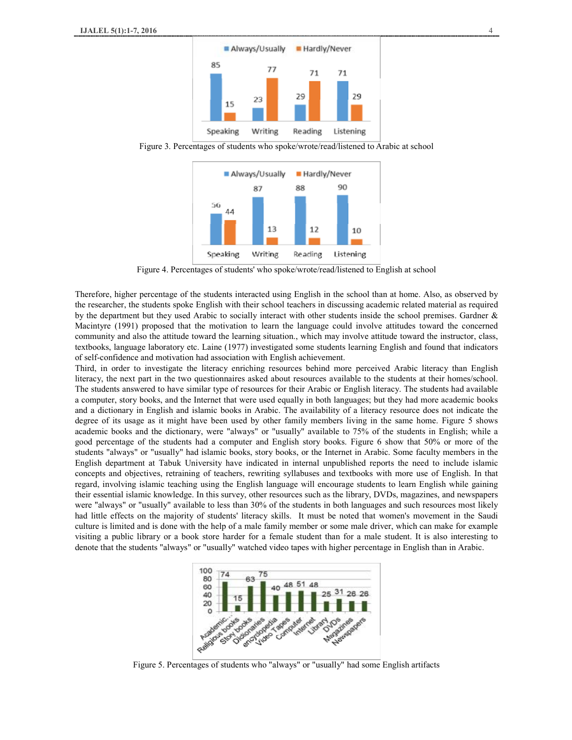

Figure 3. Percentages of students who spoke/wrote/read/listened to Arabic at school



Figure 4. Percentages of students' who spoke/wrote/read/listened to English at school

Therefore, higher percentage of the students interacted using English in the school than at home. Also, as observed by the researcher, the students spoke English with their school teachers in discussing academic related material as required by the department but they used Arabic to socially interact with other students inside the school premises. Gardner & Macintyre (1991) proposed that the motivation to learn the language could involve attitudes toward the concerned community and also the attitude toward the learning situation., which may involve attitude toward the instructor, class, textbooks, language laboratory etc. Laine (1977) investigated some students learning English and found that indicators of self-confidence and motivation had association with English achievement.

Third, in order to investigate the literacy enriching resources behind more perceived Arabic literacy than English literacy, the next part in the two questionnaires asked about resources available to the students at their homes/school. The students answered to have similar type of resources for their Arabic or English literacy. The students had available a computer, story books, and the Internet that were used equally in both languages; but they had more academic books and a dictionary in English and islamic books in Arabic. The availability of a literacy resource does not indicate the degree of its usage as it might have been used by other family members living in the same home. Figure 5 shows academic books and the dictionary, were "always" or "usually" available to 75% of the students in English; while a good percentage of the students had a computer and English story books. Figure 6 show that 50% or more of the students "always" or "usually" had islamic books, story books, or the Internet in Arabic. Some faculty members in the English department at Tabuk University have indicated in internal unpublished reports the need to include islamic concepts and objectives, retraining of teachers, rewriting syllabuses and textbooks with more use of English. In that regard, involving islamic teaching using the English language will encourage students to learn English while gaining their essential islamic knowledge. In this survey, other resources such as the library, DVDs, magazines, and newspapers were "always" or "usually" available to less than 30% of the students in both languages and such resources most likely had little effects on the majority of students' literacy skills. It must be noted that women's movement in the Saudi culture is limited and is done with the help of a male family member or some male driver, which can make for example visiting a public library or a book store harder for a female student than for a male student. It is also interesting to denote that the students "always" or "usually" watched video tapes with higher percentage in English than in Arabic.



Figure 5. Percentages of students who "always" or "usually" had some English artifacts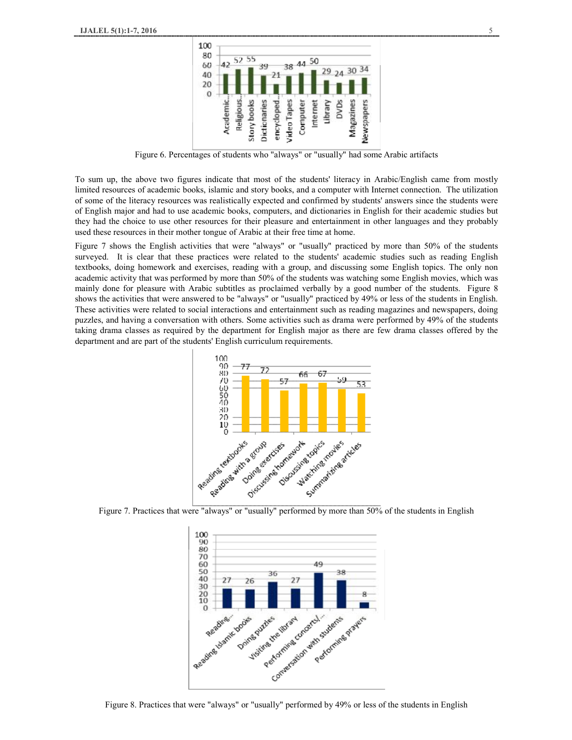

Figure 6. Percentages of students who "always" or "usually" had some Arabic artifacts

To sum up, the above two figures indicate that most of the students' literacy in Arabic/English came from mostly limited resources of academic books, islamic and story books, and a computer with Internet connection. The utilization of some of the literacy resources was realistically expected and confirmed by students' answers since the students were of English major and had to use academic books, computers, and dictionaries in English for their academic studies but they had the choice to use other resources for their pleasure and entertainment in other languages and they probably used these resources in their mother tongue of Arabic at their free time at home.

Figure 7 shows the English activities that were "always" or "usually" practiced by more than 50% of the students surveyed. It is clear that these practices were related to the students' academic studies such as reading English textbooks, doing homework and exercises, reading with a group, and discussing some English topics. The only non academic activity that was performed by more than 50% of the students was watching some English movies, which was mainly done for pleasure with Arabic subtitles as proclaimed verbally by a good number of the students. Figure 8 shows the activities that were answered to be "always" or "usually" practiced by 49% or less of the students in English. These activities were related to social interactions and entertainment such as reading magazines and newspapers, doing puzzles, and having a conversation with others. Some activities such as drama were performed by 49% of the students taking drama classes as required by the department for English major as there are few drama classes offered by the department and are part of the students' English curriculum requirements.





Figure 8. Practices that were "always" or "usually" performed by 49% or less of the students in English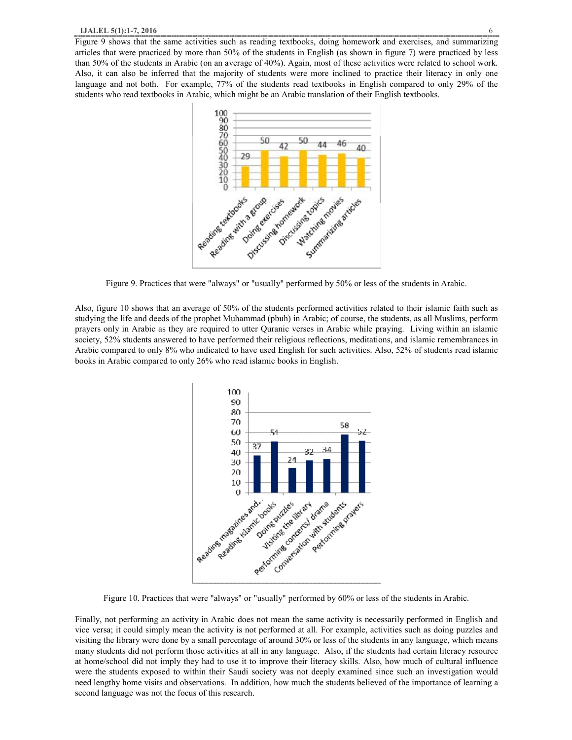Figure 9 shows that the same activities such as reading textbooks, doing homework and exercises, and summarizing articles that were practiced by more than 50% of the students in English (as shown in figure 7) were practiced by less than 50% of the students in Arabic (on an average of 40%). Again, most of these activities were related to school work. Also, it can also be inferred that the majority of students were more inclined to practice their literacy in only one language and not both. For example, 77% of the students read textbooks in English compared to only 29% of the students who read textbooks in Arabic, which might be an Arabic translation of their English textbooks.



Figure 9. Practices that were "always" or "usually" performed by 50% or less of the students in Arabic.

Also, figure 10 shows that an average of 50% of the students performed activities related to their islamic faith such as studying the life and deeds of the prophet Muhammad (pbuh) in Arabic; of course, the students, as all Muslims, perform prayers only in Arabic as they are required to utter Quranic verses in Arabic while praying. Living within an islamic society, 52% students answered to have performed their religious reflections, meditations, and islamic remembrances in Arabic compared to only 8% who indicated to have used English for such activities. Also, 52% of students read islamic books in Arabic compared to only 26% who read islamic books in English.



Figure 10. Practices that were "always" or "usually" performed by 60% or less of the students in Arabic.

Finally, not performing an activity in Arabic does not mean the same activity is necessarily performed in English and vice versa; it could simply mean the activity is not performed at all. For example, activities such as doing puzzles and visiting the library were done by a small percentage of around 30% or less of the students in any language, which means many students did not perform those activities at all in any language. Also, if the students had certain literacy resource at home/school did not imply they had to use it to improve their literacy skills. Also, how much of cultural influence were the students exposed to within their Saudi society was not deeply examined since such an investigation would need lengthy home visits and observations. In addition, how much the students believed of the importance of learning a second language was not the focus of this research.